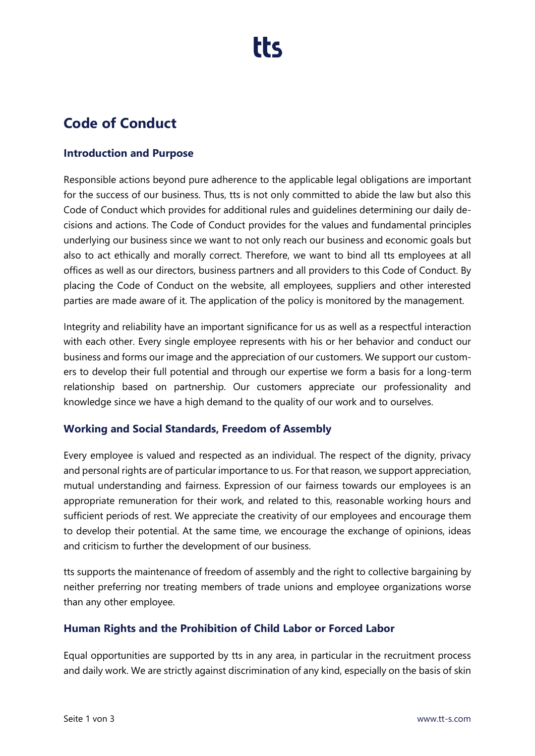### **Code of Conduct**

#### **Introduction and Purpose**

Responsible actions beyond pure adherence to the applicable legal obligations are important for the success of our business. Thus, tts is not only committed to abide the law but also this Code of Conduct which provides for additional rules and guidelines determining our daily decisions and actions. The Code of Conduct provides for the values and fundamental principles underlying our business since we want to not only reach our business and economic goals but also to act ethically and morally correct. Therefore, we want to bind all tts employees at all offices as well as our directors, business partners and all providers to this Code of Conduct. By placing the Code of Conduct on the website, all employees, suppliers and other interested parties are made aware of it. The application of the policy is monitored by the management.

Integrity and reliability have an important significance for us as well as a respectful interaction with each other. Every single employee represents with his or her behavior and conduct our business and forms our image and the appreciation of our customers. We support our customers to develop their full potential and through our expertise we form a basis for a long-term relationship based on partnership. Our customers appreciate our professionality and knowledge since we have a high demand to the quality of our work and to ourselves.

#### **Working and Social Standards, Freedom of Assembly**

Every employee is valued and respected as an individual. The respect of the dignity, privacy and personal rights are of particular importance to us. For that reason, we support appreciation, mutual understanding and fairness. Expression of our fairness towards our employees is an appropriate remuneration for their work, and related to this, reasonable working hours and sufficient periods of rest. We appreciate the creativity of our employees and encourage them to develop their potential. At the same time, we encourage the exchange of opinions, ideas and criticism to further the development of our business.

tts supports the maintenance of freedom of assembly and the right to collective bargaining by neither preferring nor treating members of trade unions and employee organizations worse than any other employee.

#### **Human Rights and the Prohibition of Child Labor or Forced Labor**

Equal opportunities are supported by tts in any area, in particular in the recruitment process and daily work. We are strictly against discrimination of any kind, especially on the basis of skin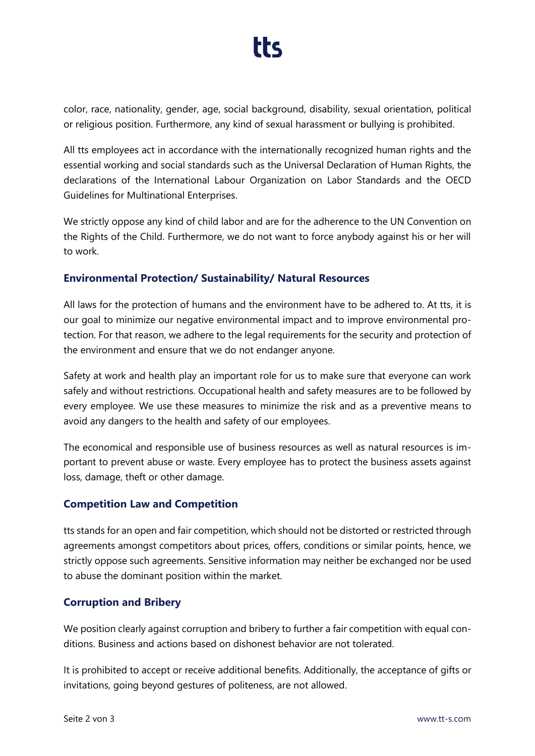# tt<

color, race, nationality, gender, age, social background, disability, sexual orientation, political or religious position. Furthermore, any kind of sexual harassment or bullying is prohibited.

All tts employees act in accordance with the internationally recognized human rights and the essential working and social standards such as the Universal Declaration of Human Rights, the declarations of the International Labour Organization on Labor Standards and the OECD Guidelines for Multinational Enterprises.

We strictly oppose any kind of child labor and are for the adherence to the UN Convention on the Rights of the Child. Furthermore, we do not want to force anybody against his or her will to work.

#### **Environmental Protection/ Sustainability/ Natural Resources**

All laws for the protection of humans and the environment have to be adhered to. At tts, it is our goal to minimize our negative environmental impact and to improve environmental protection. For that reason, we adhere to the legal requirements for the security and protection of the environment and ensure that we do not endanger anyone.

Safety at work and health play an important role for us to make sure that everyone can work safely and without restrictions. Occupational health and safety measures are to be followed by every employee. We use these measures to minimize the risk and as a preventive means to avoid any dangers to the health and safety of our employees.

The economical and responsible use of business resources as well as natural resources is important to prevent abuse or waste. Every employee has to protect the business assets against loss, damage, theft or other damage.

#### **Competition Law and Competition**

tts stands for an open and fair competition, which should not be distorted or restricted through agreements amongst competitors about prices, offers, conditions or similar points, hence, we strictly oppose such agreements. Sensitive information may neither be exchanged nor be used to abuse the dominant position within the market.

#### **Corruption and Bribery**

We position clearly against corruption and bribery to further a fair competition with equal conditions. Business and actions based on dishonest behavior are not tolerated.

It is prohibited to accept or receive additional benefits. Additionally, the acceptance of gifts or invitations, going beyond gestures of politeness, are not allowed.